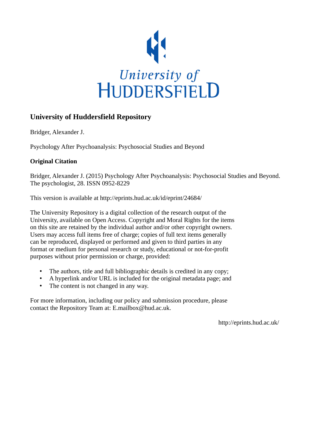

## **University of Huddersfield Repository**

Bridger, Alexander J.

Psychology After Psychoanalysis: Psychosocial Studies and Beyond

## **Original Citation**

Bridger, Alexander J. (2015) Psychology After Psychoanalysis: Psychosocial Studies and Beyond. The psychologist, 28. ISSN 0952-8229

This version is available at http://eprints.hud.ac.uk/id/eprint/24684/

The University Repository is a digital collection of the research output of the University, available on Open Access. Copyright and Moral Rights for the items on this site are retained by the individual author and/or other copyright owners. Users may access full items free of charge; copies of full text items generally can be reproduced, displayed or performed and given to third parties in any format or medium for personal research or study, educational or not-for-profit purposes without prior permission or charge, provided:

- The authors, title and full bibliographic details is credited in any copy;
- A hyperlink and/or URL is included for the original metadata page; and
- The content is not changed in any way.

For more information, including our policy and submission procedure, please contact the Repository Team at: E.mailbox@hud.ac.uk.

http://eprints.hud.ac.uk/